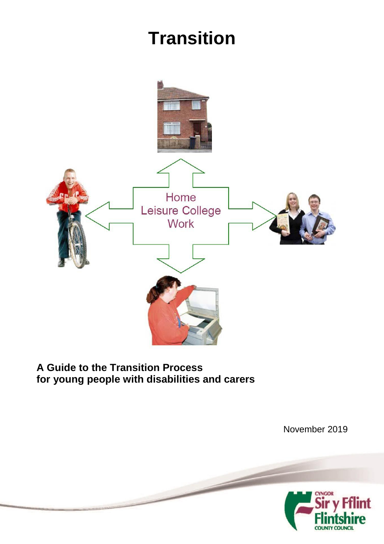# **Transition**



# **A Guide to the Transition Process for young people with disabilities and carers**

November 2019int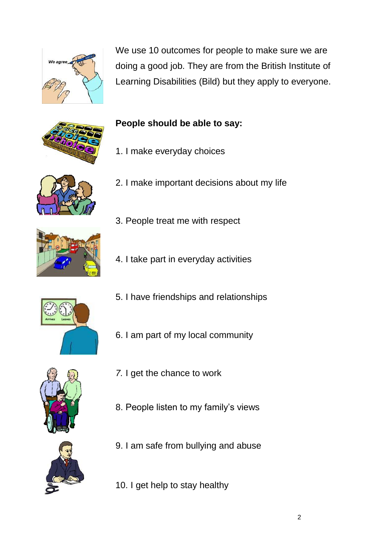

We use 10 outcomes for people to make sure we are doing a good job. They are from the British Institute of Learning Disabilities (Bild) but they apply to everyone.







- 1. I make everyday choices
- 2. I make important decisions about my life
- 
- 3. People treat me with respect
- 4. I take part in everyday activities



- 5. I have friendships and relationships
- 6. I am part of my local community
- 
- *7.* I get the chance to work
- 8. People listen to my family's views



- 9. I am safe from bullying and abuse
- 10. I get help to stay healthy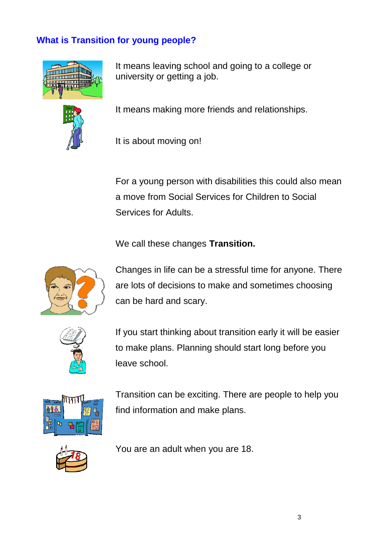# **What is Transition for young people?**



It means leaving school and going to a college or university or getting a job.



It means making more friends and relationships.

It is about moving on!

For a young person with disabilities this could also mean a move from Social Services for Children to Social Services for Adults.

#### We call these changes **Transition.**



Changes in life can be a stressful time for anyone. There are lots of decisions to make and sometimes choosing can be hard and scary.



If you start thinking about transition early it will be easier to make plans. Planning should start long before you leave school.



Transition can be exciting. There are people to help you find information and make plans.



You are an adult when you are 18.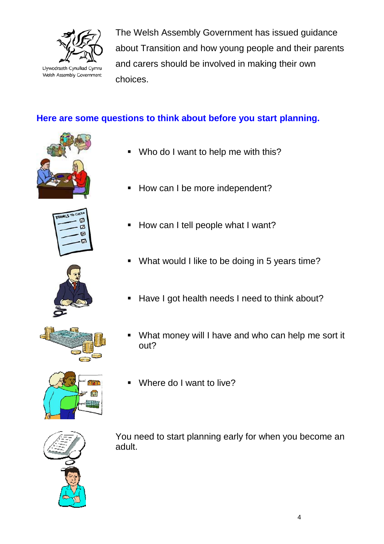

The Welsh Assembly Government has issued guidance about Transition and how young people and their parents and carers should be involved in making their own choices.

# **Here are some questions to think about before you start planning.**











- Who do I want to help me with this?
- How can I be more independent?
- How can I tell people what I want?
- What would I like to be doing in 5 years time?
- Have I got health needs I need to think about?
- What money will I have and who can help me sort it out?
- Where do I want to live?



You need to start planning early for when you become an adult.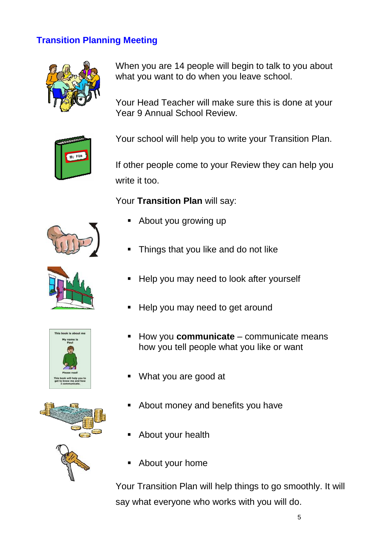# **Transition Planning Meeting**



When you are 14 people will begin to talk to you about what you want to do when you leave school.

Your Head Teacher will make sure this is done at your Year 9 Annual School Review.



Your school will help you to write your Transition Plan.

If other people come to your Review they can help you write it too.

Your Transition Plan will say:

- About you growing up
- Things that you like and do not like
- Help you may need to look after yourself
- Help you may need to get around
- How you **communicate**  communicate means how you tell people what you like or want
- What you are good at
- About money and benefits you have
- About your health
- About your home

Your Transition Plan will help things to go smoothly. It will say what everyone who works with you will do.







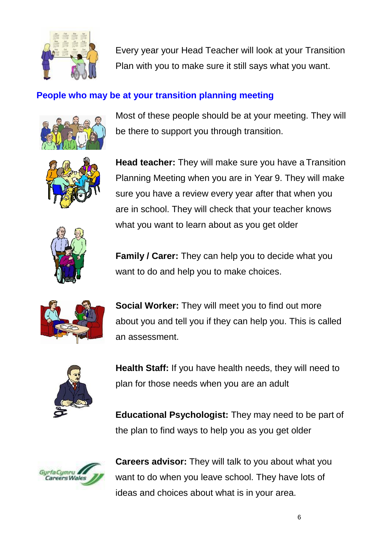

Every year your Head Teacher will look at your Transition Plan with you to make sure it still says what you want.

# **People who may be at your transition planning meeting**



Most of these people should be at your meeting. They will be there to support you through transition.



**Head teacher:** They will make sure you have a Transition Planning Meeting when you are in Year 9. They will make sure you have a review every year after that when you are in school. They will check that your teacher knows what you want to learn about as you get older



**Family / Carer:** They can help you to decide what you want to do and help you to make choices.



**Social Worker:** They will meet you to find out more about you and tell you if they can help you. This is called an assessment.



**Health Staff:** If you have health needs, they will need to plan for those needs when you are an adult

**Educational Psychologist:** They may need to be part of the plan to find ways to help you as you get older



**Careers advisor:** They will talk to you about what you want to do when you leave school. They have lots of ideas and choices about what is in your area.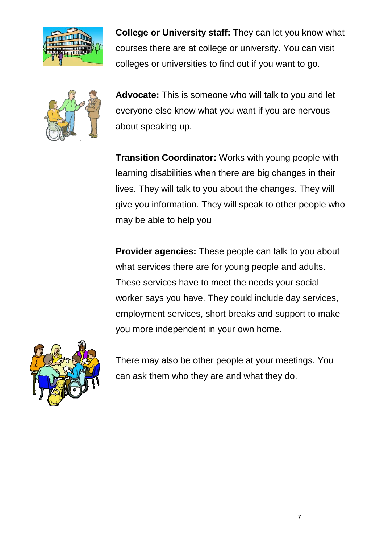

**College or University staff:** They can let you know what courses there are at college or university. You can visit colleges or universities to find out if you want to go.



**Advocate:** This is someone who will talk to you and let everyone else know what you want if you are nervous about speaking up.

**Transition Coordinator:** Works with young people with learning disabilities when there are big changes in their lives. They will talk to you about the changes. They will give you information. They will speak to other people who may be able to help you

**Provider agencies:** These people can talk to you about what services there are for young people and adults. These services have to meet the needs your social worker says you have. They could include day services, employment services, short breaks and support to make you more independent in your own home.



There may also be other people at your meetings. You can ask them who they are and what they do.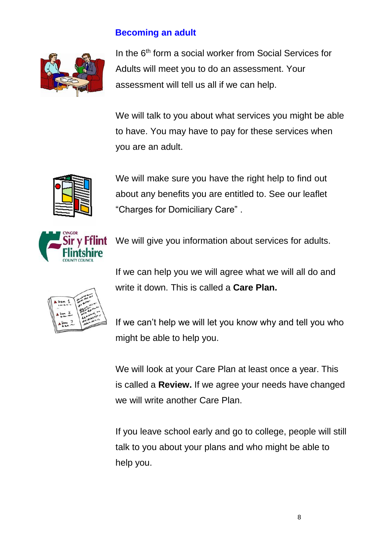### **Becoming an adult**



In the 6<sup>th</sup> form a social worker from Social Services for Adults will meet you to do an assessment. Your assessment will tell us all if we can help.

We will talk to you about what services you might be able to have. You may have to pay for these services when you are an adult.



We will make sure you have the right help to find out about any benefits you are entitled to. See our leaflet "Charges for Domiciliary Care" .



If we can help you we will agree what we will all do and write it down. This is called a **Care Plan.**



If we can't help we will let you know why and tell you who might be able to help you.

We will look at your Care Plan at least once a year. This is called a **Review.** If we agree your needs have changed we will write another Care Plan.

If you leave school early and go to college, people will still talk to you about your plans and who might be able to help you.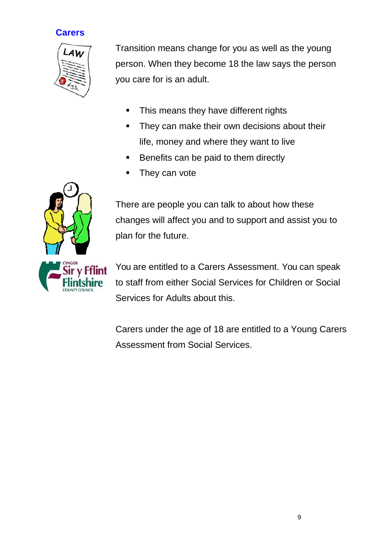# **Carers**



Transition means change for you as well as the young person. When they become 18 the law says the person you care for is an adult.

- This means they have different rights
- They can make their own decisions about their life, money and where they want to live
- Benefits can be paid to them directly
- They can vote

There are people you can talk to about how these changes will affect you and to support and assist you to plan for the future.

You are entitled to a Carers Assessment. You can speak to staff from either Social Services for Children or Social Services for Adults about this.

Carers under the age of 18 are entitled to a Young Carers Assessment from Social Services.